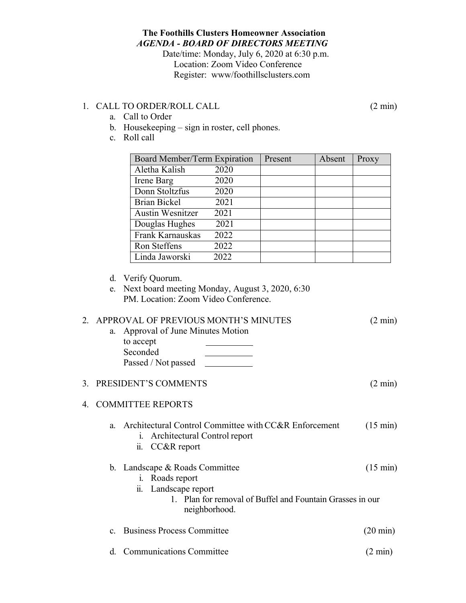## **The Foothills Clusters Homeowner Association** *AGENDA - BOARD OF DIRECTORS MEETING*

Date/time: Monday, July 6, 2020 at 6:30 p.m. Location: Zoom Video Conference Register: www/foothillsclusters.com

## 1. CALL TO ORDER/ROLL CALL (2 min)

- a. Call to Order
- b. Housekeeping sign in roster, cell phones.
- c. Roll call

| Board Member/Term Expiration |      | Present | Absent | Proxy |
|------------------------------|------|---------|--------|-------|
| Aletha Kalish                | 2020 |         |        |       |
| Irene Barg                   | 2020 |         |        |       |
| Donn Stoltzfus               | 2020 |         |        |       |
| <b>Brian Bickel</b>          | 2021 |         |        |       |
| <b>Austin Wesnitzer</b>      | 2021 |         |        |       |
| Douglas Hughes               | 2021 |         |        |       |
| Frank Karnauskas             | 2022 |         |        |       |
| Ron Steffens                 | 2022 |         |        |       |
| Linda Jaworski               | 2022 |         |        |       |

- d. Verify Quorum.
- e. Next board meeting Monday, August 3, 2020, 6:30 PM. Location: Zoom Video Conference.

#### 2. APPROVAL OF PREVIOUS MONTH'S MINUTES (2 min)

a. Approval of June Minutes Motion to accept Seconded Passed / Not passed

#### 3. PRESIDENT'S COMMENTS (2 min)

# 4. COMMITTEE REPORTS

- a. Architectural Control Committee with CC&R Enforcement (15 min)
	- i. Architectural Control report ii. CC&R report

# b. Landscape & Roads Committee (15 min)

# i. Roads report

- ii. Landscape report
	- 1. Plan for removal of Buffel and Fountain Grasses in our neighborhood.
- c. Business Process Committee (20 min)
- d. Communications Committee (2 min)

- -
-